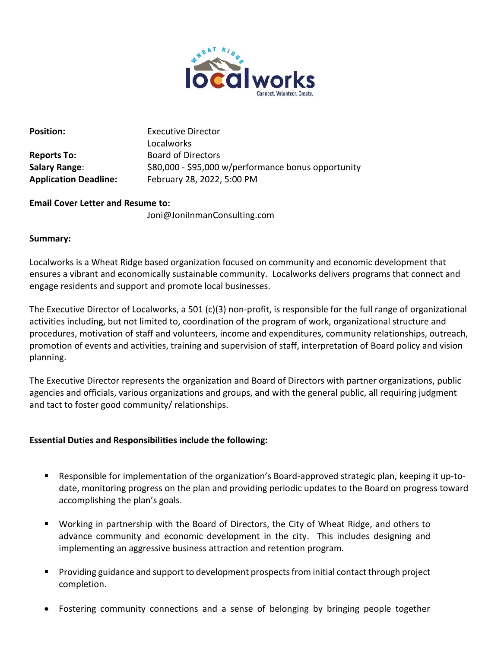

| יוועטוניט ו            |
|------------------------|
| <b>Reports To:</b>     |
| Salary Range:          |
| Andelse Hans Beadlines |

**Position:** Executive Director Localworks **Reports To:** Board of Directors \$80,000 - \$95,000 w/performance bonus opportunity **Application Deadline:** February 28, 2022, 5:00 PM

# **Email Cover Letter and Resume to:**

Joni@JoniInmanConsulting.com

# **Summary:**

Localworks is a Wheat Ridge based organization focused on community and economic development that ensures a vibrant and economically sustainable community. Localworks delivers programs that connect and engage residents and support and promote local businesses.

The Executive Director of Localworks, a 501 (c)(3) non-profit, is responsible for the full range of organizational activities including, but not limited to, coordination of the program of work, organizational structure and procedures, motivation of staff and volunteers, income and expenditures, community relationships, outreach, promotion of events and activities, training and supervision of staff, interpretation of Board policy and vision planning.

The Executive Director represents the organization and Board of Directors with partner organizations, public agencies and officials, various organizations and groups, and with the general public, all requiring judgment and tact to foster good community/ relationships.

# **Essential Duties and Responsibilities include the following:**

- Responsible for implementation of the organization's Board-approved strategic plan, keeping it up-todate, monitoring progress on the plan and providing periodic updates to the Board on progress toward accomplishing the plan's goals.
- Working in partnership with the Board of Directors, the City of Wheat Ridge, and others to advance community and economic development in the city. This includes designing and implementing an aggressive business attraction and retention program.
- Providing guidance and support to development prospects from initial contact through project completion.
- Fostering community connections and a sense of belonging by bringing people together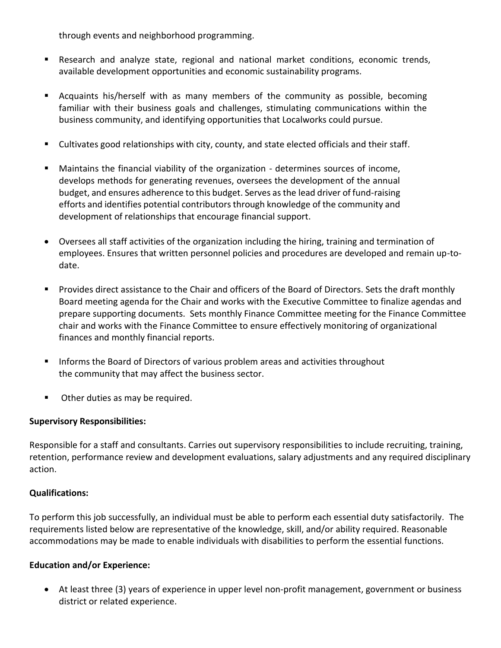through events and neighborhood programming.

- Research and analyze state, regional and national market conditions, economic trends, available development opportunities and economic sustainability programs.
- Acquaints his/herself with as many members of the community as possible, becoming familiar with their business goals and challenges, stimulating communications within the business community, and identifying opportunities that Localworks could pursue.
- Cultivates good relationships with city, county, and state elected officials and their staff.
- Maintains the financial viability of the organization determines sources of income, develops methods for generating revenues, oversees the development of the annual budget, and ensures adherence to this budget. Serves as the lead driver of fund-raising efforts and identifies potential contributors through knowledge of the community and development of relationships that encourage financial support.
- Oversees all staff activities of the organization including the hiring, training and termination of employees. Ensures that written personnel policies and procedures are developed and remain up-todate.
- Provides direct assistance to the Chair and officers of the Board of Directors. Sets the draft monthly Board meeting agenda for the Chair and works with the Executive Committee to finalize agendas and prepare supporting documents. Sets monthly Finance Committee meeting for the Finance Committee chair and works with the Finance Committee to ensure effectively monitoring of organizational finances and monthly financial reports.
- Informs the Board of Directors of various problem areas and activities throughout the community that may affect the business sector.
- Other duties as may be required.

# **Supervisory Responsibilities:**

Responsible for a staff and consultants. Carries out supervisory responsibilities to include recruiting, training, retention, performance review and development evaluations, salary adjustments and any required disciplinary action.

# **Qualifications:**

To perform this job successfully, an individual must be able to perform each essential duty satisfactorily. The requirements listed below are representative of the knowledge, skill, and/or ability required. Reasonable accommodations may be made to enable individuals with disabilities to perform the essential functions.

# **Education and/or Experience:**

• At least three (3) years of experience in upper level non-profit management, government or business district or related experience.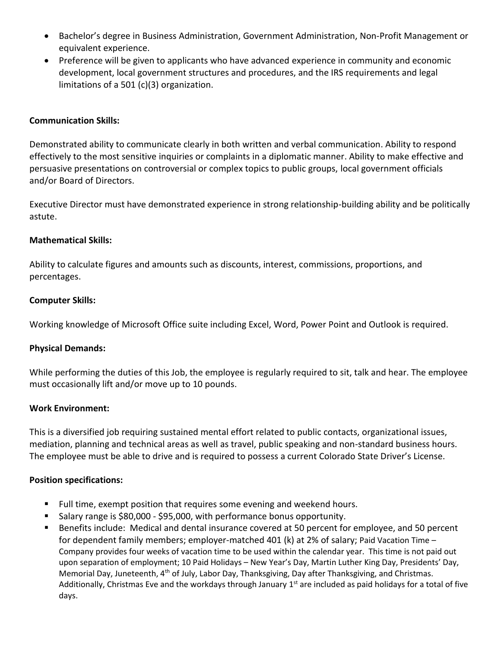- Bachelor's degree in Business Administration, Government Administration, Non-Profit Management or equivalent experience.
- Preference will be given to applicants who have advanced experience in community and economic development, local government structures and procedures, and the IRS requirements and legal limitations of a 501 (c)(3) organization.

## **Communication Skills:**

Demonstrated ability to communicate clearly in both written and verbal communication. Ability to respond effectively to the most sensitive inquiries or complaints in a diplomatic manner. Ability to make effective and persuasive presentations on controversial or complex topics to public groups, local government officials and/or Board of Directors.

Executive Director must have demonstrated experience in strong relationship-building ability and be politically astute.

## **Mathematical Skills:**

Ability to calculate figures and amounts such as discounts, interest, commissions, proportions, and percentages.

### **Computer Skills:**

Working knowledge of Microsoft Office suite including Excel, Word, Power Point and Outlook is required.

## **Physical Demands:**

While performing the duties of this Job, the employee is regularly required to sit, talk and hear. The employee must occasionally lift and/or move up to 10 pounds.

### **Work Environment:**

This is a diversified job requiring sustained mental effort related to public contacts, organizational issues, mediation, planning and technical areas as well as travel, public speaking and non-standard business hours. The employee must be able to drive and is required to possess a current Colorado State Driver's License.

### **Position specifications:**

- Full time, exempt position that requires some evening and weekend hours.
- Salary range is \$80,000 \$95,000, with performance bonus opportunity.
- Benefits include: Medical and dental insurance covered at 50 percent for employee, and 50 percent for dependent family members; employer-matched 401 (k) at 2% of salary; Paid Vacation Time – Company provides four weeks of vacation time to be used within the calendar year. This time is not paid out upon separation of employment; 10 Paid Holidays – New Year's Day, Martin Luther King Day, Presidents' Day, Memorial Day, Juneteenth,  $4<sup>th</sup>$  of July, Labor Day, Thanksgiving, Day after Thanksgiving, and Christmas. Additionally, Christmas Eve and the workdays through January  $1<sup>st</sup>$  are included as paid holidays for a total of five days.